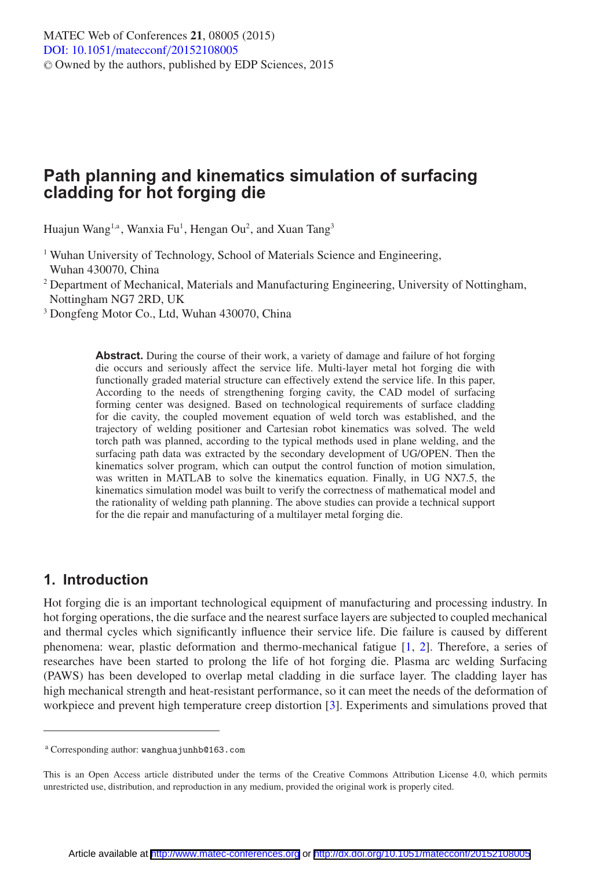# **Path planning and kinematics simulation of surfacing cladding for hot forging die**

Huajun Wang<sup>1,a</sup>, Wanxia Fu<sup>1</sup>, Hengan Ou<sup>2</sup>, and Xuan Tang<sup>3</sup>

<sup>1</sup> Wuhan University of Technology, School of Materials Science and Engineering, Wuhan 430070, China

<sup>2</sup> Department of Mechanical, Materials and Manufacturing Engineering, University of Nottingham, Nottingham NG7 2RD, UK

<sup>3</sup> Dongfeng Motor Co., Ltd, Wuhan 430070, China

**Abstract.** During the course of their work, a variety of damage and failure of hot forging die occurs and seriously affect the service life. Multi-layer metal hot forging die with functionally graded material structure can effectively extend the service life. In this paper, According to the needs of strengthening forging cavity, the CAD model of surfacing forming center was designed. Based on technological requirements of surface cladding for die cavity, the coupled movement equation of weld torch was established, and the trajectory of welding positioner and Cartesian robot kinematics was solved. The weld torch path was planned, according to the typical methods used in plane welding, and the surfacing path data was extracted by the secondary development of UG/OPEN. Then the kinematics solver program, which can output the control function of motion simulation, was written in MATLAB to solve the kinematics equation. Finally, in UG NX7.5, the kinematics simulation model was built to verify the correctness of mathematical model and the rationality of welding path planning. The above studies can provide a technical support for the die repair and manufacturing of a multilayer metal forging die.

### **1. Introduction**

Hot forging die is an important technological equipment of manufacturing and processing industry. In hot forging operations, the die surface and the nearest surface layers are subjected to coupled mechanical and thermal cycles which significantly influence their service life. Die failure is caused by different phenomena: wear, plastic deformation and thermo-mechanical fatigue [\[1,](#page-6-0) [2](#page-6-1)]. Therefore, a series of researches have been started to prolong the life of hot forging die. Plasma arc welding Surfacing (PAWS) has been developed to overlap metal cladding in die surface layer. The cladding layer has high mechanical strength and heat-resistant performance, so it can meet the needs of the deformation of workpiece and prevent high temperature creep distortion [\[3\]](#page-6-2). Experiments and simulations proved that

<sup>a</sup> Corresponding author: wanghuajunhb@163.com

This is an Open Access article distributed under the terms of the Creative Commons Attribution License 4.0, which permits unrestricted use, distribution, and reproduction in any medium, provided the original work is properly cited.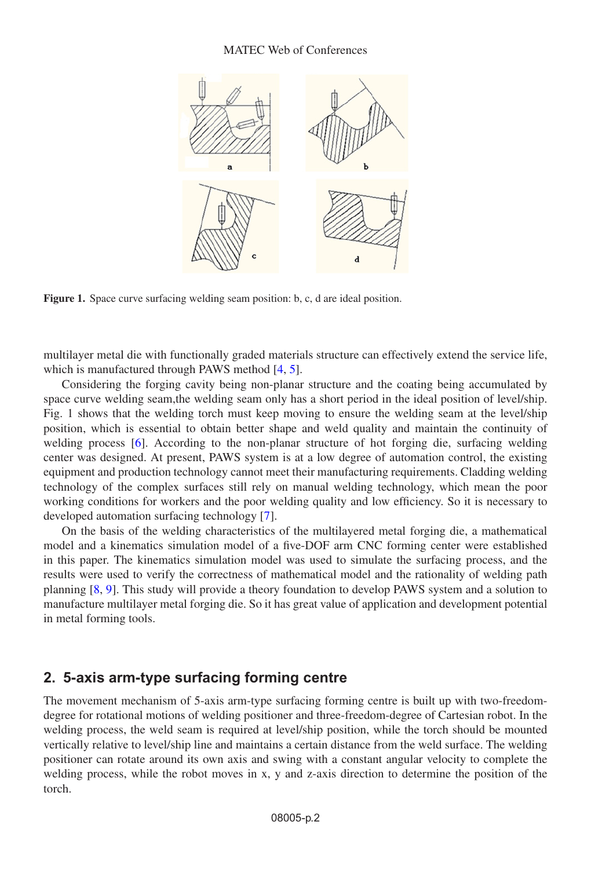#### MATEC Web of Conferences



**Figure 1.** Space curve surfacing welding seam position: b, c, d are ideal position.

multilayer metal die with functionally graded materials structure can effectively extend the service life, which is manufactured through PAWS method [\[4](#page-6-3), [5](#page-6-4)].

Considering the forging cavity being non-planar structure and the coating being accumulated by space curve welding seam,the welding seam only has a short period in the ideal position of level/ship. Fig. 1 shows that the welding torch must keep moving to ensure the welding seam at the level/ship position, which is essential to obtain better shape and weld quality and maintain the continuity of welding process [\[6](#page-6-5)]. According to the non-planar structure of hot forging die, surfacing welding center was designed. At present, PAWS system is at a low degree of automation control, the existing equipment and production technology cannot meet their manufacturing requirements. Cladding welding technology of the complex surfaces still rely on manual welding technology, which mean the poor working conditions for workers and the poor welding quality and low efficiency. So it is necessary to developed automation surfacing technology [\[7](#page-6-6)].

On the basis of the welding characteristics of the multilayered metal forging die, a mathematical model and a kinematics simulation model of a five-DOF arm CNC forming center were established in this paper. The kinematics simulation model was used to simulate the surfacing process, and the results were used to verify the correctness of mathematical model and the rationality of welding path planning [\[8](#page-6-7), [9](#page-6-8)]. This study will provide a theory foundation to develop PAWS system and a solution to manufacture multilayer metal forging die. So it has great value of application and development potential in metal forming tools.

### **2. 5-axis arm-type surfacing forming centre**

The movement mechanism of 5-axis arm-type surfacing forming centre is built up with two-freedomdegree for rotational motions of welding positioner and three-freedom-degree of Cartesian robot. In the welding process, the weld seam is required at level/ship position, while the torch should be mounted vertically relative to level/ship line and maintains a certain distance from the weld surface. The welding positioner can rotate around its own axis and swing with a constant angular velocity to complete the welding process, while the robot moves in x, y and z-axis direction to determine the position of the torch.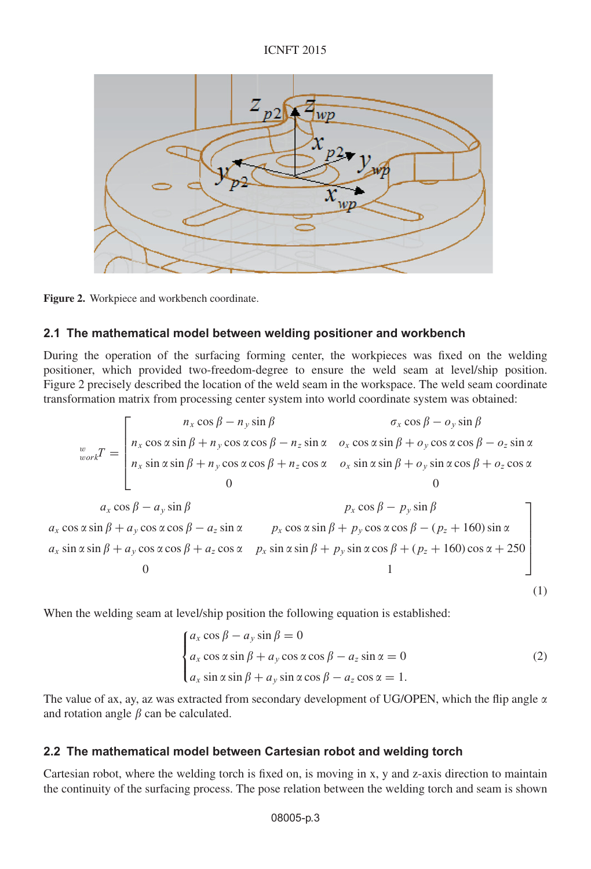#### ICNFT 2015



**Figure 2.** Workpiece and workbench coordinate.

### **2.1 The mathematical model between welding positioner and workbench**

During the operation of the surfacing forming center, the workpieces was fixed on the welding positioner, which provided two-freedom-degree to ensure the weld seam at level/ship position. Figure 2 precisely described the location of the weld seam in the workspace. The weld seam coordinate transformation matrix from processing center system into world coordinate system was obtained:

$$
\begin{aligned}\nw_{\text{work}}T &= \begin{bmatrix}\nn_x \cos \beta - n_y \sin \beta & \sigma_x \cos \beta - o_y \sin \beta \\
n_x \cos \alpha \sin \beta + n_y \cos \alpha \cos \beta - n_z \sin \alpha & o_x \cos \alpha \sin \beta + o_y \cos \alpha \cos \beta - o_z \sin \alpha \\
n_x \sin \alpha \sin \beta + n_y \cos \alpha \cos \beta + n_z \cos \alpha & o_x \sin \alpha \sin \beta + o_y \sin \alpha \cos \beta + o_z \cos \alpha\n\end{bmatrix} \\
a_x \cos \beta - a_y \sin \beta & p_x \cos \beta - p_y \sin \beta \\
a_x \cos \alpha \sin \beta + a_y \cos \alpha \cos \beta - a_z \sin \alpha & p_x \cos \alpha \sin \beta + p_y \cos \alpha \cos \beta - (p_z + 160) \sin \alpha \\
a_x \sin \alpha \sin \beta + a_y \cos \alpha \cos \beta + a_z \cos \alpha & p_x \sin \alpha \sin \beta + p_y \sin \alpha \cos \beta + (p_z + 160) \cos \alpha + 250 \\
0\n\end{bmatrix}\n\end{aligned}
$$

When the welding seam at level/ship position the following equation is established:

$$
\begin{cases}\na_x \cos \beta - a_y \sin \beta = 0 \\
a_x \cos \alpha \sin \beta + a_y \cos \alpha \cos \beta - a_z \sin \alpha = 0 \\
a_x \sin \alpha \sin \beta + a_y \sin \alpha \cos \beta - a_z \cos \alpha = 1.\n\end{cases}
$$
\n(2)

(1)

The value of ax, ay, az was extracted from secondary development of UG/OPEN, which the flip angle  $\alpha$ and rotation angle  $\beta$  can be calculated.

#### **2.2 The mathematical model between Cartesian robot and welding torch**

Cartesian robot, where the welding torch is fixed on, is moving in x, y and z-axis direction to maintain the continuity of the surfacing process. The pose relation between the welding torch and seam is shown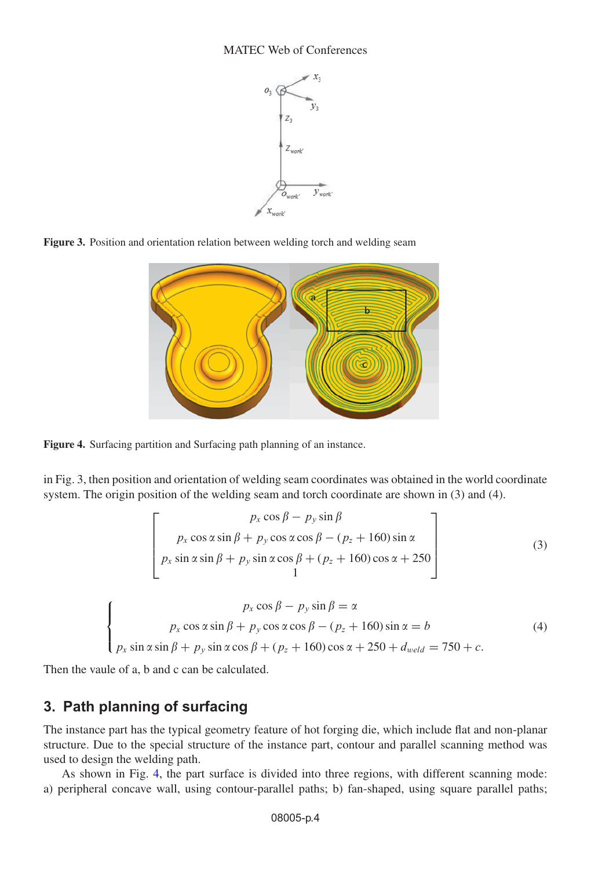

**Figure 3.** Position and orientation relation between welding torch and welding seam

<span id="page-3-0"></span>

**Figure 4.** Surfacing partition and Surfacing path planning of an instance.

in Fig. 3, then position and orientation of welding seam coordinates was obtained in the world coordinate system. The origin position of the welding seam and torch coordinate are shown in (3) and (4).

$$
\begin{bmatrix}\n p_x \cos \beta - p_y \sin \beta \\
 p_x \cos \alpha \sin \beta + p_y \cos \alpha \cos \beta - (p_z + 160) \sin \alpha \\
 p_x \sin \alpha \sin \beta + p_y \sin \alpha \cos \beta + (p_z + 160) \cos \alpha + 250 \\
 1\n\end{bmatrix}
$$
\n(3)

$$
\begin{cases}\n p_x \cos \beta - p_y \sin \beta = \alpha \\
 p_x \cos \alpha \sin \beta + p_y \cos \alpha \cos \beta - (p_z + 160) \sin \alpha = b \\
 p_x \sin \alpha \sin \beta + p_y \sin \alpha \cos \beta + (p_z + 160) \cos \alpha + 250 + d_{weld} = 750 + c.\n\end{cases}
$$
\n(4)

Then the vaule of a, b and c can be calculated.

### **3. Path planning of surfacing**

The instance part has the typical geometry feature of hot forging die, which include flat and non-planar structure. Due to the special structure of the instance part, contour and parallel scanning method was used to design the welding path.

As shown in Fig. [4,](#page-3-0) the part surface is divided into three regions, with different scanning mode: a) peripheral concave wall, using contour-parallel paths; b) fan-shaped, using square parallel paths;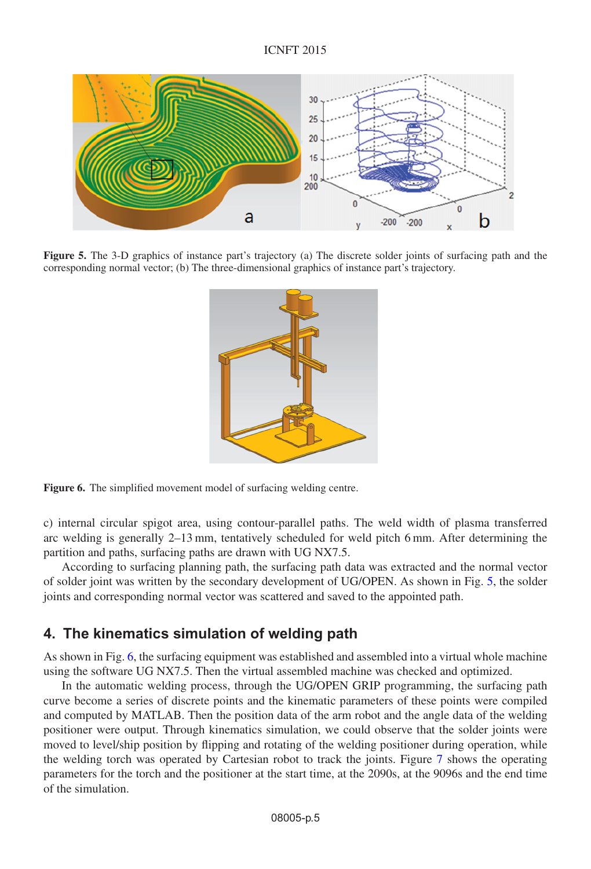<span id="page-4-0"></span>

<span id="page-4-1"></span>**Figure 5.** The 3-D graphics of instance part's trajectory (a) The discrete solder joints of surfacing path and the corresponding normal vector; (b) The three-dimensional graphics of instance part's trajectory.



**Figure 6.** The simplified movement model of surfacing welding centre.

c) internal circular spigot area, using contour-parallel paths. The weld width of plasma transferred arc welding is generally 2–13 mm, tentatively scheduled for weld pitch 6 mm. After determining the partition and paths, surfacing paths are drawn with UG NX7.5.

According to surfacing planning path, the surfacing path data was extracted and the normal vector of solder joint was written by the secondary development of UG/OPEN. As shown in Fig. [5,](#page-4-0) the solder joints and corresponding normal vector was scattered and saved to the appointed path.

## **4. The kinematics simulation of welding path**

As shown in Fig. [6,](#page-4-1) the surfacing equipment was established and assembled into a virtual whole machine using the software UG NX7.5. Then the virtual assembled machine was checked and optimized.

In the automatic welding process, through the UG/OPEN GRIP programming, the surfacing path curve become a series of discrete points and the kinematic parameters of these points were compiled and computed by MATLAB. Then the position data of the arm robot and the angle data of the welding positioner were output. Through kinematics simulation, we could observe that the solder joints were moved to level/ship position by flipping and rotating of the welding positioner during operation, while the welding torch was operated by Cartesian robot to track the joints. Figure [7](#page-5-0) shows the operating parameters for the torch and the positioner at the start time, at the 2090s, at the 9096s and the end time of the simulation.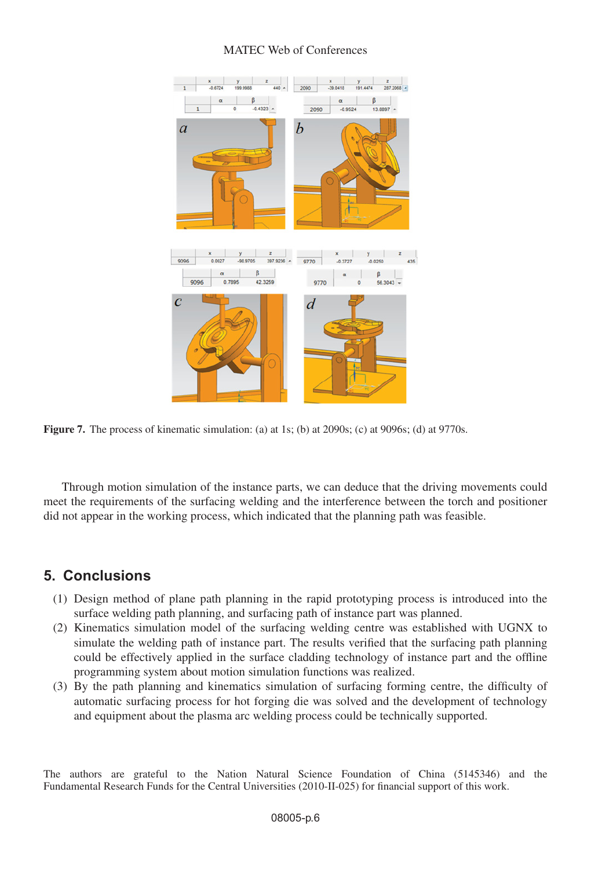### MATEC Web of Conferences

<span id="page-5-0"></span>

**Figure 7.** The process of kinematic simulation: (a) at 1s; (b) at 2090s; (c) at 9096s; (d) at 9770s.

Through motion simulation of the instance parts, we can deduce that the driving movements could meet the requirements of the surfacing welding and the interference between the torch and positioner did not appear in the working process, which indicated that the planning path was feasible.

### **5. Conclusions**

- (1) Design method of plane path planning in the rapid prototyping process is introduced into the surface welding path planning, and surfacing path of instance part was planned.
- (2) Kinematics simulation model of the surfacing welding centre was established with UGNX to simulate the welding path of instance part. The results verified that the surfacing path planning could be effectively applied in the surface cladding technology of instance part and the offline programming system about motion simulation functions was realized.
- (3) By the path planning and kinematics simulation of surfacing forming centre, the difficulty of automatic surfacing process for hot forging die was solved and the development of technology and equipment about the plasma arc welding process could be technically supported.

The authors are grateful to the Nation Natural Science Foundation of China (5145346) and the Fundamental Research Funds for the Central Universities (2010-II-025) for financial support of this work.